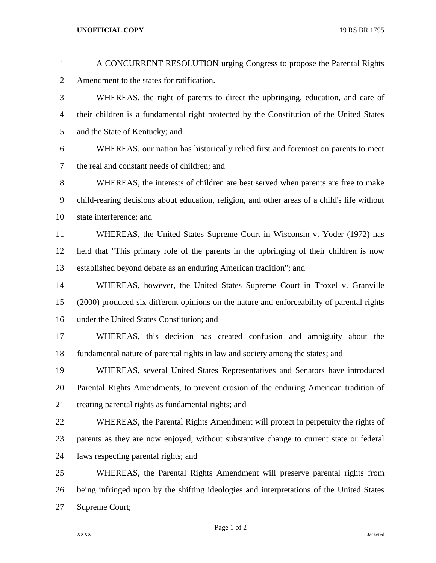## **UNOFFICIAL COPY** 19 RS BR 1795

| $\mathbf{1}$   | A CONCURRENT RESOLUTION urging Congress to propose the Parental Rights                       |
|----------------|----------------------------------------------------------------------------------------------|
| $\overline{c}$ | Amendment to the states for ratification.                                                    |
| 3              | WHEREAS, the right of parents to direct the upbringing, education, and care of               |
| $\overline{4}$ | their children is a fundamental right protected by the Constitution of the United States     |
| 5              | and the State of Kentucky; and                                                               |
| 6              | WHEREAS, our nation has historically relied first and foremost on parents to meet            |
| 7              | the real and constant needs of children; and                                                 |
| $8\,$          | WHEREAS, the interests of children are best served when parents are free to make             |
| 9              | child-rearing decisions about education, religion, and other areas of a child's life without |
| 10             | state interference; and                                                                      |
| 11             | WHEREAS, the United States Supreme Court in Wisconsin v. Yoder (1972) has                    |
| 12             | held that "This primary role of the parents in the upbringing of their children is now       |
| 13             | established beyond debate as an enduring American tradition"; and                            |
| 14             | WHEREAS, however, the United States Supreme Court in Troxel v. Granville                     |
| 15             | (2000) produced six different opinions on the nature and enforceability of parental rights   |
| 16             | under the United States Constitution; and                                                    |
| 17             | WHEREAS, this decision has created confusion and ambiguity about the                         |
| 18             | fundamental nature of parental rights in law and society among the states; and               |
| 19             | WHEREAS, several United States Representatives and Senators have introduced                  |
| 20             | Parental Rights Amendments, to prevent erosion of the enduring American tradition of         |
| 21             | treating parental rights as fundamental rights; and                                          |
| 22             | WHEREAS, the Parental Rights Amendment will protect in perpetuity the rights of              |
| 23             | parents as they are now enjoyed, without substantive change to current state or federal      |
| 24             | laws respecting parental rights; and                                                         |
| 25             | WHEREAS, the Parental Rights Amendment will preserve parental rights from                    |
| 26             | being infringed upon by the shifting ideologies and interpretations of the United States     |
| 27             | Supreme Court;                                                                               |

Page 1 of 2